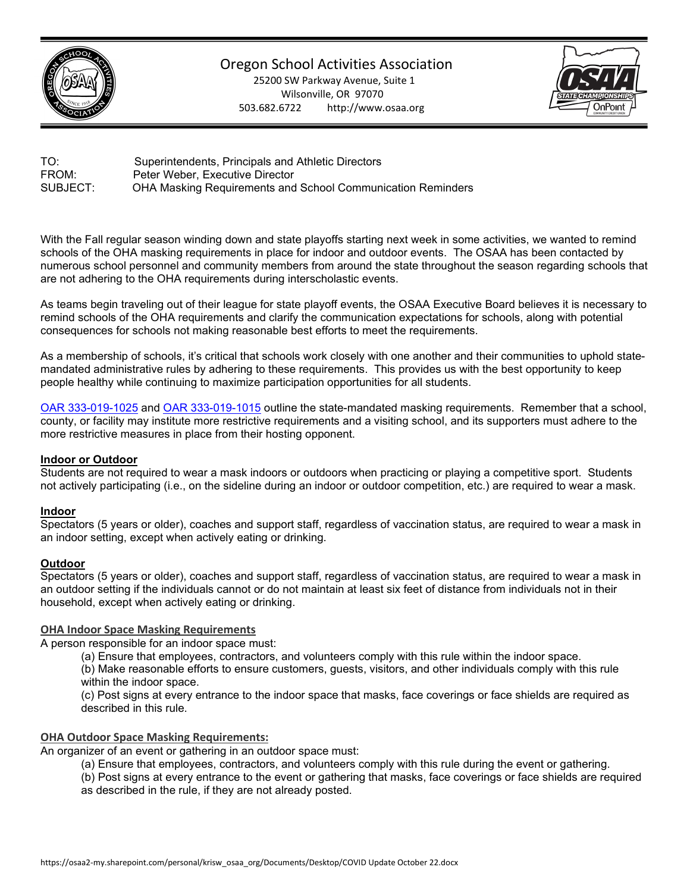

# Oregon School Activities Association

25200 SW Parkway Avenue, Suite 1 Wilsonville, OR 97070 503.682.6722 http://www.osaa.org



TO: Superintendents, Principals and Athletic Directors FROM: Peter Weber, Executive Director SUBJECT: OHA Masking Requirements and School Communication Reminders

With the Fall regular season winding down and state playoffs starting next week in some activities, we wanted to remind schools of the OHA masking requirements in place for indoor and outdoor events. The OSAA has been contacted by numerous school personnel and community members from around the state throughout the season regarding schools that are not adhering to the OHA requirements during interscholastic events.

As teams begin traveling out of their league for state playoff events, the OSAA Executive Board believes it is necessary to remind schools of the OHA requirements and clarify the communication expectations for schools, along with potential consequences for schools not making reasonable best efforts to meet the requirements.

As a membership of schools, it's critical that schools work closely with one another and their communities to uphold statemandated administrative rules by adhering to these requirements. This provides us with the best opportunity to keep people healthy while continuing to maximize participation opportunities for all students.

[OAR 333-019-1025](https://secure.sos.state.or.us/oard/viewSingleRule.action?ruleVrsnRsn=280420) and [OAR 333-019-1015](https://secure.sos.state.or.us/oard/viewSingleRule.action?ruleVrsnRsn=280834) outline the state-mandated masking requirements. Remember that a school, county, or facility may institute more restrictive requirements and a visiting school, and its supporters must adhere to the more restrictive measures in place from their hosting opponent.

## **Indoor or Outdoor**

Students are not required to wear a mask indoors or outdoors when practicing or playing a competitive sport. Students not actively participating (i.e., on the sideline during an indoor or outdoor competition, etc.) are required to wear a mask.

#### **Indoor**

Spectators (5 years or older), coaches and support staff, regardless of vaccination status, are required to wear a mask in an indoor setting, except when actively eating or drinking.

#### **Outdoor**

Spectators (5 years or older), coaches and support staff, regardless of vaccination status, are required to wear a mask in an outdoor setting if the individuals cannot or do not maintain at least six feet of distance from individuals not in their household, except when actively eating or drinking.

#### **OHA Indoor Space Masking Requirements**

A person responsible for an indoor space must:

(a) Ensure that employees, contractors, and volunteers comply with this rule within the indoor space.

(b) Make reasonable efforts to ensure customers, guests, visitors, and other individuals comply with this rule within the indoor space.

(c) Post signs at every entrance to the indoor space that masks, face coverings or face shields are required as described in this rule.

## **OHA Outdoor Space Masking Requirements:**

An organizer of an event or gathering in an outdoor space must:

- (a) Ensure that employees, contractors, and volunteers comply with this rule during the event or gathering.
- (b) Post signs at every entrance to the event or gathering that masks, face coverings or face shields are required as described in the rule, if they are not already posted.